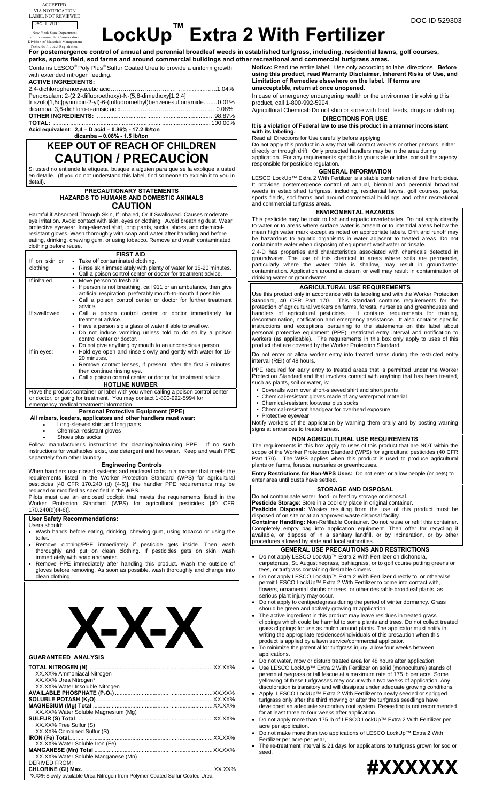Division of Materials Management



**For postemergence control of annual and perennial broadleaf weeds in established turfgrass, including, residential lawns, golf courses, parks, sports field, sod farms and around commercial buildings and other recreational and commercial turfgrass areas.** Pesticide Product Registration

Contains LESCO® Poly Plus® Sulfur Coated Urea to provide a uniform growth with extended nitrogen feeding.

**ACTIVE INGREDIENTS:** 

2,4-dichlorophenoxyacetic acid……………………………………………...1.04% Penoxsulam: 2-(2,2-difluoroethoxy)-N-(5,8-dimethoxy[1,2,4] triazolo[1,5c]pyrimidin-2-yl)-6-(trifluoromethyl)benzenesulfonamide........0.01% dicamba: 3,6-dichloro-o-anisic acid…………………………………………0.08% **OTHER INGREDIENTS:** ......................................................................98.87% **TOTAL:** ..............................................................................................100.00%

**Acid equivalent: 2,4 – D acid – 0.86% - 17.2 lb/ton dicamba – 0.08% - 1.5 lb/ton** 

### **KEEP OUT OF REACH OF CHILDREN CAUTION / PRECAUCỈON**

Si usted no entiende la etiqueta, busque a alguien para que se la explique a usted en detalle. (If you do not understand this label, find someone to explain it to you in detail).

#### **PRECAUTIONARY STATEMENTS HAZARDS TO HUMANS AND DOMESTIC ANIMALS**

**CAUTION**  Harmful if Absorbed Through Skin, If Inhaled, Or If Swallowed. Causes moderate eye irritation. Avoid contact with skin, eyes or clothing. Avoid breathing dust. Wear protective eyewear, long-sleeved shirt, long pants, socks, shoes, and chemical-

resistant gloves. Wash thoroughly with soap and water after handling and before eating, drinking, chewing gum, or using tobacco. Remove and wash contaminated clothing before reuse.

| <b>FIRST AID</b>                                                                  |                           |                                                                                                                                                                                                                                                                                              |  |  |
|-----------------------------------------------------------------------------------|---------------------------|----------------------------------------------------------------------------------------------------------------------------------------------------------------------------------------------------------------------------------------------------------------------------------------------|--|--|
|                                                                                   | If on skin or<br>clothing | Take off contaminated clothing.<br>Rinse skin immediately with plenty of water for 15-20 minutes.<br>Call a poison control center or doctor for treatment advice.                                                                                                                            |  |  |
|                                                                                   | If inhaled                | Move person to fresh air.<br>If person is not breathing, call 911 or an ambulance, then give<br>artificial respiration, preferably mouth-to-mouth if possible.<br>Call a poison control center or doctor for further treatment<br>advice.                                                    |  |  |
|                                                                                   | If swallowed              | • Call a poison control center or doctor immediately for<br>treatment advice.<br>Have a person sip a glass of water if able to swallow.<br>Do not induce vomiting unless told to do so by a poison<br>control center or doctor.<br>• Do not give anything by mouth to an unconscious person. |  |  |
|                                                                                   | If in eyes:               | Hold eye open and rinse slowly and gently with water for 15-<br>20 minutes.<br>Remove contact lenses, if present, after the first 5 minutes,<br>then continue rinsing eye.<br>Call a poison control center or doctor for treatment advice.                                                   |  |  |
|                                                                                   |                           | <b>HOTLINE NUMBER</b>                                                                                                                                                                                                                                                                        |  |  |
| Have the product container or label with you when calling a poison control center |                           |                                                                                                                                                                                                                                                                                              |  |  |

or doctor, or going for treatment. You may contact 1-800-992-5994 for emergency medical treatment information.

#### **Personal Protective Equipment (PPE)**

 **All mixers, loaders, applicators and other handlers must wear:** • Long-sleeved shirt and long pants

- Chemical-resistant gloves
- Shoes plus socks

Follow manufacturer's instructions for cleaning/maintaining PPE. If no such instructions for washables exist, use detergent and hot water. Keep and wash PPE separately from other laundry.

#### **Engineering Controls**

When handlers use closed systems and enclosed cabs in a manner that meets the requirements listed in the Worker Protection Standard (WPS) for agricultural pesticides [40 CFR 170.240 (d) (4-6)], the handler PPE requirements may be reduced or modified as specified in the WPS.

Pilots must use an enclosed cockpit that meets the requirements listed in the Worker Protection Standard (WPS) for agricultural pesticides [40 CFR  $170.240(d)(4-6)$ ].

#### **User Safety Recommendations:**

Users should:

- Wash hands before eating, drinking, chewing gum, using tobacco or using the toilet.
- Remove clothing/PPE immediately if pesticide gets inside. Then wash thoroughly and put on clean clothing. If pesticides gets on skin, wash immediately with soap and water.
- Remove PPE immediately after handling this product. Wash the outside of gloves before removing. As soon as possible, wash thoroughly and change into clean clothing.

# **X-X-X**

| <b>GUARANTEED ANALYSIS</b>                                                    |  |
|-------------------------------------------------------------------------------|--|
|                                                                               |  |
| XX.XX% Ammoniacal Nitrogen                                                    |  |
| XX.XX% Urea Nitrogen*                                                         |  |
| XX.XX% Water Insoluble Nitrogen                                               |  |
|                                                                               |  |
|                                                                               |  |
|                                                                               |  |
| XX.XX% Water Soluble Magnesium (Mg)                                           |  |
|                                                                               |  |
| XX.XX% Free Sulfur (S)                                                        |  |
| XX.XX% Combined Sulfur (S)                                                    |  |
|                                                                               |  |
| XX.XX% Water Soluble Iron (Fe)                                                |  |
|                                                                               |  |
| XX.XX% Water Soluble Manganese (Mn)                                           |  |
| DERIVED FROM:                                                                 |  |
|                                                                               |  |
| *X.XX% Slowly available Urea Nitrogen from Polymer Coated Sulfur Coated Urea. |  |

**Notice:** Read the entire label. Use only according to label directions. **Before using this product, read Warranty Disclaimer, Inherent Risks of Use, and Limitation of Remedies elsewhere on the label. If terms are unacceptable, return at once unopened.** 

#### In case of emergency endangering health or the environment involving this product, call 1-800-992-5994.

Agricultural Chemical: Do not ship or store with food, feeds, drugs or clothing. **DIRECTIONS FOR USE** 

**It is a violation of Federal law to use this product in a manner inconsistent with its labeling.** 

Read all Directions for Use carefully before applying.

Do not apply this product in a way that will contact workers or other persons, either directly or through drift. Only protected handlers may be in the area during application. For any requirements specific to your state or tribe, consult the agency responsible for pesticide regulation.

#### **GENERAL INFORMATION**

LESCO LockUp™ Extra 2 With Fertilizer is a stable combination of thre herbicides. It provides postemergence control of annual, biennial and perennial broadleaf weeds in established turfgrass, including, residential lawns, golf courses, parks, sports fields, sod farms and around commercial buildings and other recreational and commercial turfgrass areas.

#### **ENVIROMENTAL HAZARDS**

This pesticide may be toxic to fish and aquatic invertebrates. Do not apply directly to water or to areas where surface water is present or to intertidal areas below the mean high water mark except as noted on appropriate labels. Drift and runoff may be hazardous to aquatic organisms in water adjacent to treated areas. Do not contaminate water when disposing of equipment washwater or rinsate.

2,4-D has properties and characteristics associated with chemicals detected in groundwater. The use of this chemical in areas where soils are permeable, particularly where the water table is shallow, may result in groundwater contamination. Application around a cistern or well may result in contamination of drinking water or groundwater.

#### **AGRICULTURAL USE REQUIREMENTS**

Use this product only in accordance with its labeling and with the Worker Protection Standard, 40 CFR Part 170. This Standard contains requirements for the protection of agricultural workers on farms, forests, nurseries and greenhouses and handlers of agricultural pesticides. It contains requirements for training, decontamination, notification and emergency assistance. It also contains specific instructions and exceptions pertaining to the statements on this label about personal protective equipment (PPE), restricted entry interval and notification to workers (as applicable). The requirements in this box only apply to uses of this product that are covered by the Worker Protection Standard.

Do not enter or allow worker entry into treated areas during the restricted entry interval (REI) of 48 hours.

PPE required for early entry to treated areas that is permitted under the Worker Protection Standard and that involves contact with anything that has been treated, such as plants, soil or water, is:

- Coveralls worn over short-sleeved shirt and short pants
- Chemical-resistant gloves made of any waterproof material
- Chemical-resistant footwear plus socks
- Chemical-resistant headgear for overhead exposure • Protective eyewear

Notify workers of the application by warning them orally and by posting warning signs at entrances to treated are

#### **NON AGRICULTURAL USE REQUIREMENTS**

The requirements in this box apply to uses of this product that are NOT within the scope of the Worker Protection Standard (WPS) for agricultural pesticides (40 CFR Part 170). The WPS applies when this product is used to produce agricultural plants on farms, forests, nurseries or greenhouses.

**Entry Restrictions for Non-WPS Uses:** Do not enter or allow people (or pets) to enter area until dusts have settle

#### **STORAGE AND DISPOSAL**

Do not contaminate water, food, or feed by storage or disposal. **Pesticide Storage:** Store in a cool dry place in original container.

**Pesticide Disposal:** Wastes resulting from the use of this product must be disposed of on site or at an approved waste disposal facility. **Container Handling:** Non-Refillable Container. Do not reuse or refill this container. Completely empty bag into application equipment. Then offer for recycling if available, or dispose of in a sanitary landfill, or by incineration, or by other

procedures allowed by state and local authorities. **GENERAL USE PRECAUTIONS AND RESTRICTIONS** 

- Do not apply LESCO LockUp™ Extra 2 With Fertilizer on dichondra, carpetgrass, St. Augustinegrass, bahiagrass, or to golf course putting greens or
- tees, or turfgrass containing desirable clovers. • Do not apply LESCO LockUp<sup>™</sup> Extra 2 With Fertilizer directly to, or otherwise
- permit LESCO LockUp™ Extra 2 With Fertilizer to come into contact with, flowers, ornamental shrubs or trees, or other desirable broadleaf plants, as serious plant injury may occur.
- Do not apply to centipedegrass during the period of winter dormancy. Grass should be green and actively growing at application.
- The active ingredient in this product may leave residues in treated grass clippings which could be harmful to some plants and trees. Do not collect treated grass clippings for use as mulch around plants. The applicator must notify in writing the appropriate residences/individuals of this precaution when this product is applied by a lawn service/commercial applicator.
- To minimize the potential for turfgrass injury, allow four weeks between applications.
- Do not water, mow or disturb treated area for 48 hours after application.
- Use LESCO LockUp™ Extra 2 With Fertilizer on solid (monoculture) stands of perennial ryegrass or tall fescue at a maximum rate of 175 lb per acre. Some yellowing of these turfgrasses may occur within two weeks of application. Any discoloration is transitory and will dissipate under adequate growing conditions.
- Apply LESCO LockUp<sup>™</sup> Extra 2 With Fertilizer to newly seeded or sprigged turfgrass only after the third mowing or after the turfgrass seedlings have developed an adequate secondary root system. Reseeding is not recommended for at least three to four weeks after application.
- Do not apply more than 175 lb of LESCO LockUp™ Extra 2 With Fertilizer per acre per application.
- Do not make more than two applications of LESCO LockUp™ Extra 2 With Fertilizer per acre per year, The re-treatment interval is 21 days for applications to turfgrass grown for sod or

seed.